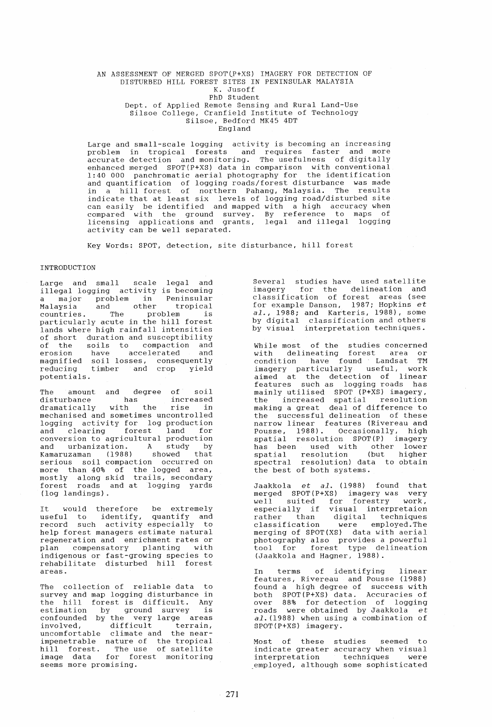## AN ASSESSMENT OF MERGED SPOT(P+XS) IMAGERY FOR DETECTION OF DISTURBED HILL FOREST SITES IN PENINSULAR MALAYSIA K. Jusoff PhD Student Dept. of Applied Remote Sensing and Rural Land-Use Silsoe College, Cranfield Institute of Technology Silsoe, Bedford MK45 4DT

England

Large and small-scale logging activity is becoming an increasing problem in tropical forests and requires faster and more accurate detection and monitoring. The usefulness of digitally enhanced merged SPOT{P+XS) data in comparison with conventional 1:40 000 panchromatic aerial photography for the identification and quantification of logging roads/forest disturbance was made in a hill forest of northern Pahang, Malaysia. The results indicate that at least six levels of logging road/disturbed site can easily be identified and mapped with a high accuracy when compared with the ground survey. By reference to maps of licensing applications and grants, legal and illegal logging activity can be well separated.

Key Words: SPOT, detection, site disturbance, hill forest

# INTRODUCTION

Large and small scale legal and illegal logging activity is becoming a major problem in Peninsular Malaysia and other tropical countries. The problem is particularly acute in the hill forest lands where high rainfall intensities of short duration and susceptibility of the soils to compaction and erosion have accelerated and magnified soil losses, consequently reducing timber and crop yield potentials.

The amount and degree of soil disturbance has increased dramatically with the rise in mechanised and sometimes uncontrolled logging activity for log production and clearing forest land for and clearing forest land for<br>conversion to agricultural production and urbanization. A study by Kamaruzaman (1988) showed that serious soil compaction occurred on more chan 40% of the logged died, forest roads and at logging yards (log landings).

It would therefore be extremely useful to identify, quantify and record such activity especially to help forest managers estimate natural<br>regeneration and enrichment rates or regeneration and enrichment rates or plan compensatory planting with indigenous or fast-growing species to rehabilitate disturbed hill forest areas.

The collection of reliable data to survey and map logging disturbance in the hill forest is difficult. Any estimation by ground survey is confounded by the very large areas involved, difficult terrain, uncomfortable climate and the nearimpenetrable nature of the tropical hill forest. The use of satellite image data for forest monitoring seems more promising.

Several studies have used satellite imagery for the delineation and classification of forest areas (see erassification of forest dicas (see<br>for example Danson, 1987; Hopkins et *al.,* 1988; and Karteris, 1988), some by digital classification and others by visual interpretation techniques.

While most of the studies concerned with delineating forest area or condition have found Landsat TM imagery particularly useful, work aimed at the detection of linear features such as logging roads has mainly utilised SPOT (P+XS) imagery, the increased spatial resolution making a great deal of difference to the successful delineation of these narrow linear features (Rivereau and Pousse, 1988). Occasionally, high spatial resolution SPOT(P) imagery has been used with other lower<br>spatial resolution (but higher spatial resolution (but higher spectral resolution) data to obtain the best of both systems.

Jaakkola et *al.* (1988) found that merged SPOT(P+XS) imagery was very well suited for forestry work, especially if visual interpretaion especially in the interpretation<br>rather than digital techniques classification were employed.The merging of SPOT(XS) data with aerial photography also provides a powerful tool for forest type delineation (Jaakkola and Hagner, 1988).

In terms of identifying linear features, Rivereau and Pousse (1988) found a high degree of success with both SPOT(P+XS) data. Accuracies of over 88% for detection of logging roads were obtained by Jaakkola  $et$ al. (1988) when using a combination of SPOT(P+XS) imagery.

Most of these studies seemed to indicate greater accuracy when visual interpretation techniques were employed, although some sophisticated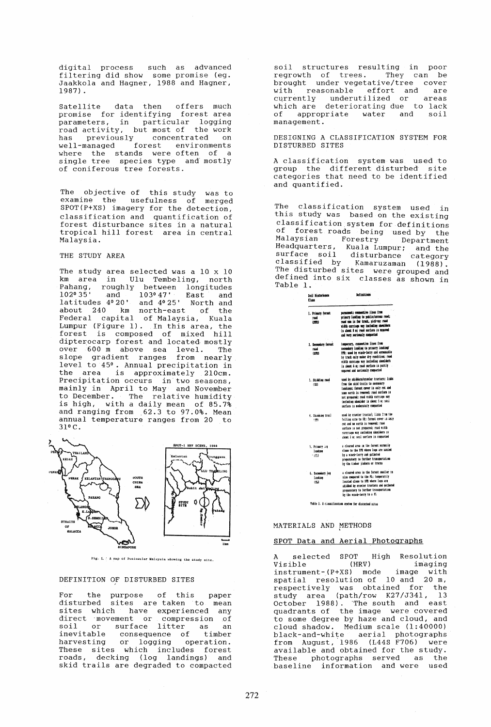digital process such as advanced filtering did show some promise (eg. Jaakkola and Hagner, 1988 and Hagner, 1987) .

Satellite data then offers much promise for identifying forest area parameters, in particular logging road activity, but most of the work has previously concentrated on well-managed forest environments where the stands were often of a<br>single tree species type and mostly of coniferous tree forests.

The objective of this study was to examine the usefulness of merged SPOT(P+XS) imagery for the detection, classification and quantification of forest disturbance sites in a natural tropical hill forest area in central Malaysia.

THE STUDY AREA

The study area selected was a 10 x 10 km area in Ulu Tembeling, north Pahang, roughly between longitudes<br>102°35' and 103°47' East and 1020 35' and 1030 47' East and latitudes 40 20' and 40 25' North and about 240 km north-east of the Federal capital of Malaysia, Kuala Lumpur (Figure 1). In this area, the Edmpar (11941). The chiral area, the dipterocarp forest and located mostly over 600 m above sea level. The slope gradient ranges from nearly level to 450 • Annual precipitation in the area is approximately 210cm. Precipitation occurs in two seasons, mainly in April to May and November to December. The relative humidity is high, with a daily mean of 85.7% and ranging from  $62.3$  to  $97.0%$ . Mean annual temperature ranges from 20 to 310 C.



Fig. 1. ' A map of Poninsular Malaysia showing the study site.

## DEFINITION OF DISTURBED SITES

For the purpose of this paper<br>disturbed sites are taken to mean disturbed sites are taken to mean sites which have experienced any direct *inovement* or compression of<br>
soil or surface litter as an<br>
inevitable consequence of timber harvesting or logging operation. These sites which includes forest roads, decking (log landings) and skid trails are degraded to compacted

soil structures resulting in poor regrowth of trees. They can be brought under vegetative/tree cover with reasonable effort and are<br>currently underutilized or areas with reasonational currently<br>currently underutilized or areas<br>which are deteriorating due to lack of appropriate water and soil management.

DESIGNING A CLASSIFICATION SYSTEM FOR DISTURBED SITES

A classification system was used to group the different disturbed site categories that need to be identified and quantified.

The classification system used in this study was based on the existing classification system for definitions of forest roads being used by the Malaysian Forestry Department Headquarters, Kuala Lumpur; and the surface soil disturbance category classified by Kamaruzaman (1988). The disturbed sites were grouped and defined into six classes as shown in Table 1.

| Sail Bistorbanco<br>Class | <b>lefinitiess</b>                                                           |  |  |
|---------------------------|------------------------------------------------------------------------------|--|--|
| 1. Prisary forest         | nermannent: cenamentive lines from                                           |  |  |
| haaf.                     | srimary landing to sublic/access read;                                       |  |  |
| (PPR)                     | road man is for truck, pick-mp; road                                         |  |  |
|                           | vidth carriago vay including shoulders                                       |  |  |
|                           | is about 8 o: road surface is massed                                         |  |  |
|                           | and very seriously campacted                                                 |  |  |
| 2. Secondary forest       | temporary, connective lines from                                             |  |  |
| raad                      | secondary landing to primary landing/                                        |  |  |
| (IPI)                     | PPR: ssee by visch-lorry and accessible                                      |  |  |
|                           | by truck only under dry condition: read                                      |  |  |
|                           | vieth carriage vay including shoulders                                       |  |  |
|                           | is about 6 m; road surface is partly                                         |  |  |
|                           | sapaved and seriously compacted                                              |  |  |
| 1. Skidding road          | nsed by skidders/eravier tractors; links                                     |  |  |
| 1921                      | from the skid trails to secondary                                            |  |  |
|                           | landings; forest cover is only cut and                                       |  |  |
|                           | some earth is removed; road surface is                                       |  |  |
|                           | sot orenared: road width carriage vav                                        |  |  |
|                           | including shoulder is about 5 a: soil                                        |  |  |
|                           | sarface is moderately compacted                                              |  |  |
| 4. Skrádske traíl         | used by crawier tractor; links from the                                      |  |  |
| 1991                      | felling site to SB; forest cover is only                                     |  |  |
|                           | cut and no earth is removed: road                                            |  |  |
|                           | sarface is not prepared; road vidth                                          |  |  |
|                           | carrriage vay including shoulders is<br>about 3 m: soal sarface is compacted |  |  |
|                           |                                                                              |  |  |
| 5. Primary Los            | a cieared area in the forest sormally                                        |  |  |
| <b>Indias</b>             | close to the PFR vhere logs are namied                                       |  |  |
| - 1111                    | by a vinch-lorry and cathered                                                |  |  |
|                           | preseratory to further transportation                                        |  |  |
|                           | by the timber iinkers or traces                                              |  |  |
| 6. Secondary log          | a cleared area in the forest smaller in                                      |  |  |
| <b>Jandine</b>            | size compared to the PL; temporarily                                         |  |  |
| <b>ISLI</b>               | located close to SPR vhere locs are                                          |  |  |
|                           | skidded by crawler tractors and eathered                                     |  |  |
|                           | preseratory to further transportation                                        |  |  |
|                           | by the wach-jerry to a PL                                                    |  |  |

table 1. A ciassification system for disturbed sites

### MATERIALS AND METHODS

## SPOT Data and Aerial Photographs

selected SPOT High Resolution Visible (HRV) imaging instrument-(P+XS) mode image with spatial resolution of 10 and 20 m, respectively was obtained for the study area (path/row K27/J341, 13 October 1988). 'The south and east quadrants of the image were covered to some degree by haze and cloud, and cloud shadow. Medium scale (1:40000) black-and-white aerial photographs from August, '1986 (L44S F706) were available and obtained for the study. These photographs served as the baseline information and were used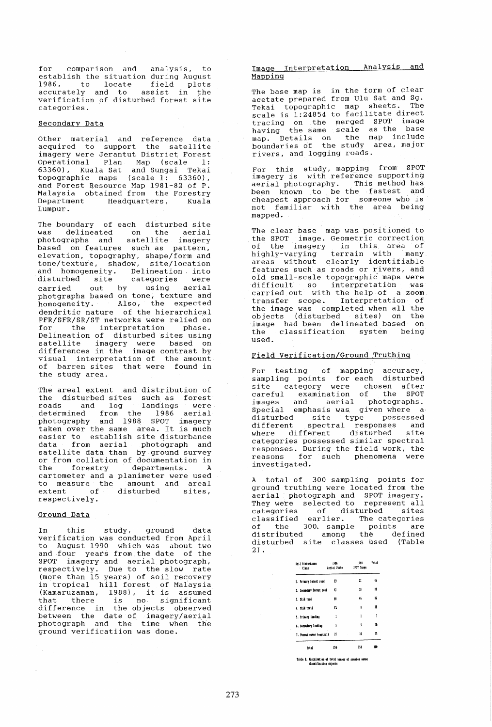for comparison and analysis, to establish the situation during August 1986, to locate field plots accurately and to assist in the verification of disturbed forest site categories.

### Secondary Data

Other material and reference data acquired to support the satellite imagery were Jerantut District Forest Operational Plan Map (scale 1: 63360), Kuala Sat and Sungai Tekai topographic maps (scale 1: 63360), and Forest Resource Map 1981-82 of P. Malaysia obtained from the Forestry Department Headquarters, Kuala Lumpur.

The boundary of each disturbed site was delineated on the aerial was defined on the defial<br>photographs and satellite imagery based on features such as pattern, elevation, topography, shape/form and tone/texture, shadow, site/location and homogeneity. Delineation into<br>disturbed site categories were categories were carried out by using aerial photgraphs based on tone, texture and homogeneity. Also, the expected dendritic nature of the hierarchical<br>PFR/SFR/SR/ST networks were relied on For the interpretation phase. Delineation of disturbed sites using satellite imagery were based on differences in the image contrast by visual interpretation of the amount of barren sites that were found in the study area.

The areal extent and distribution of the disturbed sites such as forest<br>roads and log landings were roads and log landings were<br>determined from the 1986 aerial photography and 1988 SPOT imagery taken over the same area. It is much easier to establish site disturbance data from aerial photograph and satellite data than by ground survey or from collation of documentation in the forestry departments. A cartometer and a planimeter were used to measure the amount and areal extent of disturbed sites, respectively.

#### Ground Data

 $\sim$   $\alpha$ 

In this study, ground data verification was conducted from April to August 1990 which was about two and four years from the date of the SPOT imagery and aerial photograph, respectively. Due to the slow rate (more than 15 years) of soil recovery in tropical hill forest of Malaysia (Kamaruzaman, 1988), it is assumed that there is no significant difference in the objects observed between the date of imagery/aerial photograph and the time when the ground verificatiion was done.

## Image Interpretation Analysis and Mapping

The base map is in the form of clear acetate prepared from Ulu Sat and Sg. Tekai topographic map sheets. The scale is 1:24854 to facilitate direct tracing on the merged SPOT image having the same scale as the base map. Details on the map include boundaries of the study area, major rivers, and logging roads.

For this study, mapping from SPOT imagery is with reference supporting aerial photography. This method has been known to be the fastest and cheapest approach for someone who is not familiar with the area being mapped.

The clear base map was positioned to the SPOT image. Geometric correction of the imagery in this area of bighly-varying terrain with many areas without clearly identifiable features such as roads or rivers, and old small-scale topographic maps were difficult so interpretation was carried out with the help of a zoom transfer scope. Interpretation of the image was completed when all the objects (disturbed sites) on the image had been delineated based on the classification system being used.

# Field Verification/Ground Truthing

For testing of mapping accuracy, sampling points for each disturbed site category were chosen after careful examination of the SPOT images and aerial photographs. Special emphasis was given where a· disturbed site type possessed different spectral responses and where different disturbed site categories possessed similar spectral responses. During the field work, the reasons for such phenomena were investigated.

A total of 300 sampling points for ground truthing were located from the aerial photograph and SPOT imagery. aeriar photograph and sior imagery.<br>They were selected to represent all categories of disturbed sites classified earlier. The categories of the 300. sample points are distributed among the defined distributed among the defined<br>disturbed site classes used (Table  $2)$ .

| foil Ristarbanco<br>Class<br>$\sim$ | 1586<br>Aerial Photo | 1922<br>SPOT TRANS | <b>Total</b> |  |
|-------------------------------------|----------------------|--------------------|--------------|--|
| 1. Primary forest road              | 13                   | $^{12}$            | 45           |  |
| 1. Secondary forest road            | 4                    | 18                 | m            |  |
| 1. Skid road                        | 48                   | 46                 | ĸ            |  |
| 4. Shid trail                       | Ĩ3                   | â                  | 21           |  |
| 5. Primary landing                  | ĭ                    | ı                  | ١            |  |
| 6. Secondary Insting                | 5                    | 5                  | n            |  |
| 7. Porest cover (control)           | 25                   | и                  | 55           |  |
| <b>Patal</b>                        | 150                  | 158                | 189          |  |

fable 2. Distribution of total number of samples and classification objects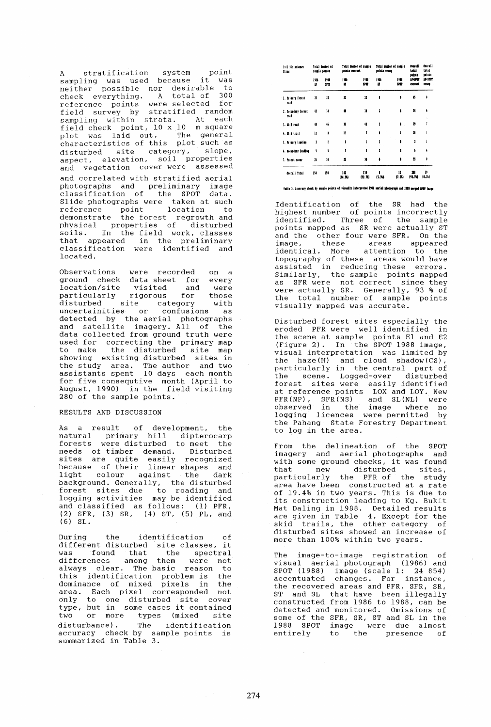A stratification system point sampling was used because it was neither possible nor desirable to check everything. A total of 300 reference points were selected for field survey by stratified random sampling within strata. At each field check point, 10 x 10 m square plot was laid out. The general characteristics of this plot such as disturbed site category, slope, aspect, elevation, soil properties and vegetation cover were assessed and correlated with stratified aerial photographs and preliminary image classification of the SPOT data. Slide photographs were taken at such reference point location to demonstrate the forest regrowth and physical properties of disturbed soils. In the field work, classes that appeared in the preliminary classification were identified and located.

Observations were recorded on a ground check data sheet for every location/site visited and were particularly rigorous for those disturbed site category with disturbed site category with<br>uncertainities or confusions as detected by the aerial photographs acceced by the acriar photographs<br>and satellite imagery. All of the data collected from ground truth were used for correcting the primary map to make the disturbed site map showing existing disturbed sites in the study area. The author and two assistants spent 10 days each month for five consequtive month (April to August, 1990) in the field visiting 280 of the sample points.

## RESULTS AND DISCUSSION

As a result of development, the natural primary hill dipterocarp forests were disturbed to meet the needs of timber demand. Disturbed sites are quite easily recognized because of their linear shapes and light colour against the dark background. Generally, the disturbed Easigreama: senerarry, ene disearsed<br>forest sites due to roading and logging activities may be identified and classified as follows: (1) PFR, (2) SFR, (3) SR, (4) ST, (5) PL, and (6) SL.

During the identification of different disturbed site classes, it was found that the spectral differences among them were not always clear. The basic reason to this identification problem is the dominance of mixed pixels in the area. Each pixel corresponded not only to one disturbed site cover type, but in some cases it contained two or more types (mixed site disturbance) . The identification accuracy check by sample points is summarized in Table 3.

| fail Bistannance<br>Class   | <b>Total Banker of</b><br>sample points |                     | Total Bunder of sample<br>points entruct |                | fotal seaker of sample<br>Mista venne |             | <b>Contral</b><br>tetal                    | <b>Overall</b><br>tetal<br>points |
|-----------------------------|-----------------------------------------|---------------------|------------------------------------------|----------------|---------------------------------------|-------------|--------------------------------------------|-----------------------------------|
|                             | 1986<br>n                               | 1988<br><b>SPOT</b> | 1986<br>w                                | 1988<br>200    | 1986<br>u                             | 1988<br>202 | points<br><b>IN-9987</b><br><b>COCTECK</b> | <b>JP-1997</b><br><b>STORE</b>    |
| I. Pricary forest<br>read   | $\mathbf{v}$                            | $^{22}$             | 11                                       | 22             | 8                                     | ٠           | 45                                         | ۵                                 |
| 2. Secondary forest<br>road | 42                                      | 38                  | 桶                                        | M              | 1                                     | ١           | 14                                         | 4<br>¥                            |
| 3. Shid road                | $\bullet$                               | 46                  | 11                                       | 42             | ï                                     | 4           | 79                                         |                                   |
| 4. skid trail               | в                                       | ı                   | 13                                       | ŧ              | ٥                                     | ł           | 18                                         |                                   |
| 5. Primary Landing          | 2                                       | ı                   | ١                                        | ı              |                                       | ŝ           | ı                                          | ı                                 |
| 6. Secondary Lunding        | 5                                       | š                   | ı                                        | J              | 1                                     | ı           | <b>A</b>                                   | 4                                 |
| 7. Parest cover             | 25                                      | 10                  | ĸ                                        | w              | ô                                     | ٠           | 55                                         | ٠                                 |
| Overall fotal               | 150                                     | 150                 | 142<br>(M.N)                             | 139<br>(92.76) | ŧ<br>$(5.30 -$                        | n<br>(7.34) | 281<br>(91.71)                             | 19<br>(0.35)                      |

Table 1. Iccuracy check by sample points of visually interpreted 1906 aerial photograph and 1988 unrepod 2002 inage

Identification of the SR had the highest number of points incorrectly identified. Three of the sample points mapped as SR were actually ST and the other four were SFR. On the image, these areas appeared identical. More attention to the topography of these areas would have assisted in reducing these errors. Similarly, the sample points mapped as SFR were not correct since they were actually SR. Generally, 93 % of the total number of sample points visually mapped was accurate.

Disturbed forest sites especially the<br>eroded PFR were well identified in eroded PFR were well identified the scene at sample points El and E2 (Figure 2). In the SPOT 1988 image, visual interpretation was limited by the haze(H) and cloud shadow(CS}, particularly in the central part of the scene. Logged-over disturbed forest sites were easily identified at reference points LOX and LOY. New PFR(NP), SFR(NS) and SL(NL) were observed in the image where no logging licences were permitteq by the Pahang State Forestry Department to log in the area.

From the delineation of the SPOT imagery and aerial photographs and with some ground checks, it was found<br>that new disturbed sites, that new disturbed particularly the PFR of the study area have been constructed at a rate of 19.4% in two years. This is due to its construction leading to Kg. Bukit Mat Daling in 1988. Detailed results are given in Table 4. Except for the skid trails, the other category of disturbed sites showed an increase of more than 100% within two years.

The image-to-image registration of visual aerial photograph (1986) and SPOT (1988) image (scale 1: 24 854) accentuated changes. For instance, the recovered areas and PFR, SFR, SR, ST and SL that have been illegally constructed from 1986 to 1988, can be detected and monitored. Omissions of some of the SFR, SR, ST and SL in the 1988 SPOT image were due almost entirely to the presence of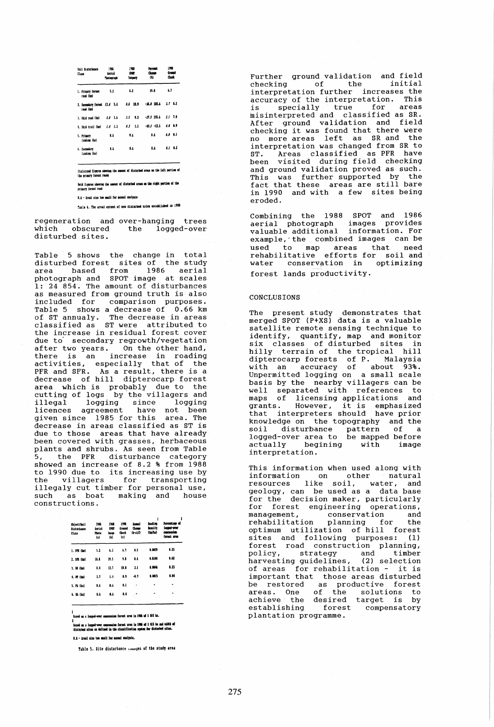| Soil Disturbance<br>Class                 | 1988<br>1926<br>袋餅<br>Aerial<br><b>SLOUT</b><br>*bategraph |             | <b>Parcent</b><br>Chance<br>m | <b>IW</b><br><b>Grande</b><br>Cast |  |
|-------------------------------------------|------------------------------------------------------------|-------------|-------------------------------|------------------------------------|--|
| 1. Primary forest<br>read (ke)            | 5.2                                                        | 6.1         | 19.4                          | 6.7                                |  |
| 1. Secondary forest 11.4 5.4<br>read (ba) |                                                            | $1.6$ 19.9  | $-36.0$ 182.5                 | $1.7$ $6.1$                        |  |
| 1. Skid road (km)                         | 4.4 1.6                                                    | $1.5 - 9.2$ | $-77.5 - 155.5$               | $2.1 - 1.1$                        |  |
| 4. Shid trail (ba)                        | $1.4$ 1.3                                                  | $2.3 - 1.1$ | $-47.1 - 12.5$                | 1.1-1.9                            |  |
| 5. Primry<br>lanism (ha)                  | 1.1                                                        | 1.1         | u                             | 1.0 M.I                            |  |
| 6. Secondary<br>laniine (ha)              | 1.1                                                        | 1.1         | u                             | $0.1 - 0.3$                        |  |

:<br>Italicized figures showing the ausust of distarbed aroas on the left portion of<br>the primary forest reads

Sold figures showing the amount of disturbed areas on the right portion of the

F.A - Ireal size too moall for papeal analysis

Table 4. The areal extent of new disturbed sites established in 1988

regeneration and over-hanging trees  $which$ obscured the logged-over disturbed sites.

Table 5 shows the change in total disturbed forest sites of the study and the states of the study<br>area based from 1986 aerial<br>photograph and SPOT image at scales<br>1: 24 854. The amount of disturbances as measured from ground truth is also included for comparison purposes. Table 5 shows a decrease of 0.66 km<br>of ST annualy. The decrease in areas<br>classified as ST were attributed to the increase in residual forest cover due to secondary regrowth/vegetation after two years. On the other hand,<br>there is an increase in roading activities, especially that of the<br>PFR and SFR. As a result, there is a decrease of hill dipterocarp forest area which is probably due to the<br>cutting of logs by the villagers and illegal logging since logging<br>licences agreement have not been given since 1985 for this area. The decrease in areas classified as ST is due to those areas that have already been covered with grasses, herbaceous<br>plants and shrubs. As seen from Table 5, the PFR disturbance category<br>showed an increase of 8.2 % from 1988 to 1990 due to its increasing use by<br>the villagers for transporting<br>illegaly cut timber for personal use, such as boat making and house constructions.

| Object/Soil<br><b>Bisturbanco</b><br>Class | 1986<br>derial<br>Photo<br>ίaΙ | 1988<br>SPOT <sub></sub><br>lasse<br>m | 1998<br>Cronnel<br>fleck<br>(c) | <b>Associ</b><br><b>Chase</b><br>ln 1/2 | 1<br><b>toading</b><br>basity<br>(ta/ba) | Percentane of<br>leense-over<br>coscession.<br>ferest area |
|--------------------------------------------|--------------------------------|----------------------------------------|---------------------------------|-----------------------------------------|------------------------------------------|------------------------------------------------------------|
| 1. PPL (he)                                | 5.2                            | 6.1                                    | 6.1                             | 0.5                                     | 6.0029                                   | 1.23                                                       |
| 1. 111 (ba)                                | 18.4                           | 19.5                                   | 9.8                             | 8.4                                     | 0.000                                    | 1.62                                                       |
| 1. 22 (ha)                                 | 1.4                            | 12.1                                   | 10.8                            | 1.1                                     | 8.00%                                    | 0.23                                                       |
| $4.57$ (ha)                                | 1.1                            | 1.4                                    | 1.5                             | -1.1                                    | 0.0015                                   | 6.86                                                       |
| 5. Pb (ba)                                 | 8.8                            | 8.4                                    | 0.1                             |                                         |                                          |                                                            |
| 6. 85 (ba)                                 | 1.1                            | 8.4                                    | 0.4                             |                                         |                                          |                                                            |

ased na a legged-over concession forest area in 1986 of 1 815 ha.

.<br>Elskvi en a logged-over concession fornot area in 1906 of 1 015 ha med vidth of<br>disturbed sites as defined in the classification system for disturbed sites.

8.4 - Arcal size too small for manual analysis.

Table 5. Site disturbance counges of the study area

Further ground validation and field<br>checking of the initial interpretation further increases the accuracy of the interpretation. This  $i s$ specially true for areas misinterpreted and classified as SR.<br>After ground validation and field<br>checking it was found that there were no more areas left as SR and the interpretation was changed from SR to ST. Areas classified as PFR have<br>been visited during field checking<br>and ground validation proved as such. This was further supported by the<br>fact that these areas are still bare in 1990 and with a few sites being .bebore

Combining the 1988 SPOT and 1986<br>aerial photograph images provides<br>valuable\_additional information. For example, the combined images can be used to map areas that need rehabilitative efforts for soil and conservation in optimizing water forest lands productivity.

### **CONCLUSTONS**

The present study demonstrates that<br>merged SPOT (P+XS) data is a valuable satellite remote sensing technique to identify, quantify, map and monitor six classes of disturbed sites in hilly terrain of the tropical hill dipterocarp forests of P. Malaysia<br>with an accuracy of about 93%.<br>Unpermitted logging on a small scale basis by the nearby villagers can be well separated with references to were of licensing applications and<br>grants. However, it is emphasized<br>that interpreters should have prior knowledge on the topography and the<br>soil disturbance pattern of a<br>logged-over area to be mapped before actually begining with image interpretation.

This information when used along with information on other natural<br>resources like soil, water, and geology, can be used as a data base<br>for the decision maker, particularly<br>for forest engineering operations, conservation<br>planning for management, and rehabilitation the remantrication praining for the<br>optimum utilization of hill forest<br>sites and following purposes: (1)<br>forest road construction planning,<br>policy, strategy and timber<br>harvesting guidelines, (2) selection of areas for rehabilitation - it is<br>important that those areas disturbed be restored as productive forest<br>areas. One of the solutions to solutions to<br>target is by achieve the desired establishing forest compensatory plantation programme.